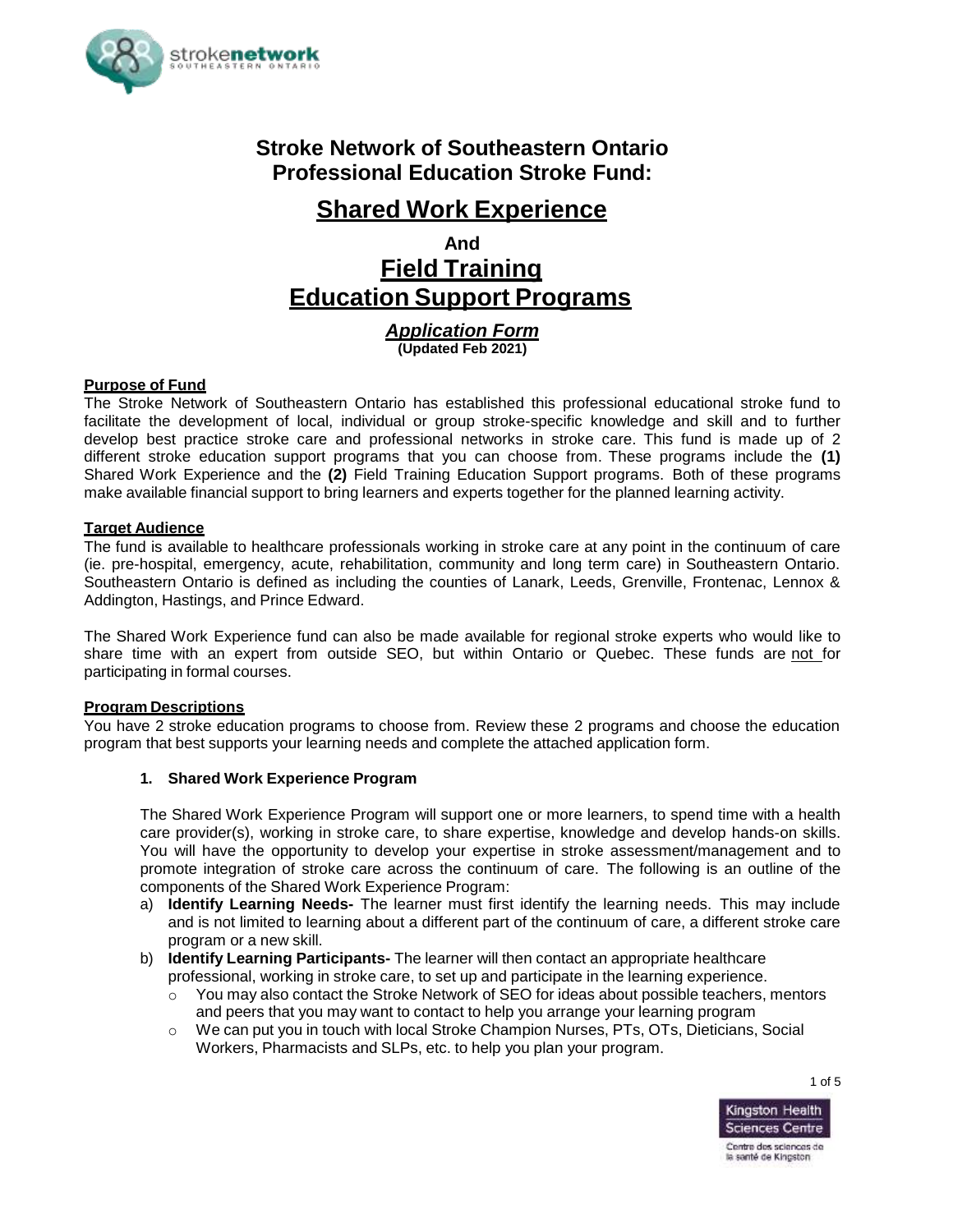

# **Stroke Network of Southeastern Ontario Professional Education Stroke Fund:**

# **Shared Work Experience**

**And**

**Field Training Education Support Programs**

> *Application Form* **(Updated Feb 2021)**

### **Purpose of Fund**

The Stroke Network of Southeastern Ontario has established this professional educational stroke fund to facilitate the development of local, individual or group stroke-specific knowledge and skill and to further develop best practice stroke care and professional networks in stroke care. This fund is made up of 2 different stroke education support programs that you can choose from. These programs include the **(1)** Shared Work Experience and the **(2)** Field Training Education Support programs. Both of these programs make available financial support to bring learners and experts together for the planned learning activity.

#### **Target Audience**

The fund is available to healthcare professionals working in stroke care at any point in the continuum of care (ie. pre-hospital, emergency, acute, rehabilitation, community and long term care) in Southeastern Ontario. Southeastern Ontario is defined as including the counties of Lanark, Leeds, Grenville, Frontenac, Lennox & Addington, Hastings, and Prince Edward.

The Shared Work Experience fund can also be made available for regional stroke experts who would like to share time with an expert from outside SEO, but within Ontario or Quebec. These funds are not for participating in formal courses.

#### **Program Descriptions**

You have 2 stroke education programs to choose from. Review these 2 programs and choose the education program that best supports your learning needs and complete the attached application form.

#### **1. Shared Work Experience Program**

The Shared Work Experience Program will support one or more learners, to spend time with a health care provider(s), working in stroke care, to share expertise, knowledge and develop hands-on skills. You will have the opportunity to develop your expertise in stroke assessment/management and to promote integration of stroke care across the continuum of care. The following is an outline of the components of the Shared Work Experience Program:

- a) **Identify Learning Needs-** The learner must first identify the learning needs. This may include and is not limited to learning about a different part of the continuum of care, a different stroke care program or a new skill.
- b) **Identify Learning Participants-** The learner will then contact an appropriate healthcare professional, working in stroke care, to set up and participate in the learning experience.
	- $\circ$  You may also contact the Stroke Network of SEO for ideas about possible teachers, mentors and peers that you may want to contact to help you arrange your learning program
	- o We can put you in touch with local Stroke Champion Nurses, PTs, OTs, Dieticians, Social Workers, Pharmacists and SLPs, etc. to help you plan your program.



1 of 5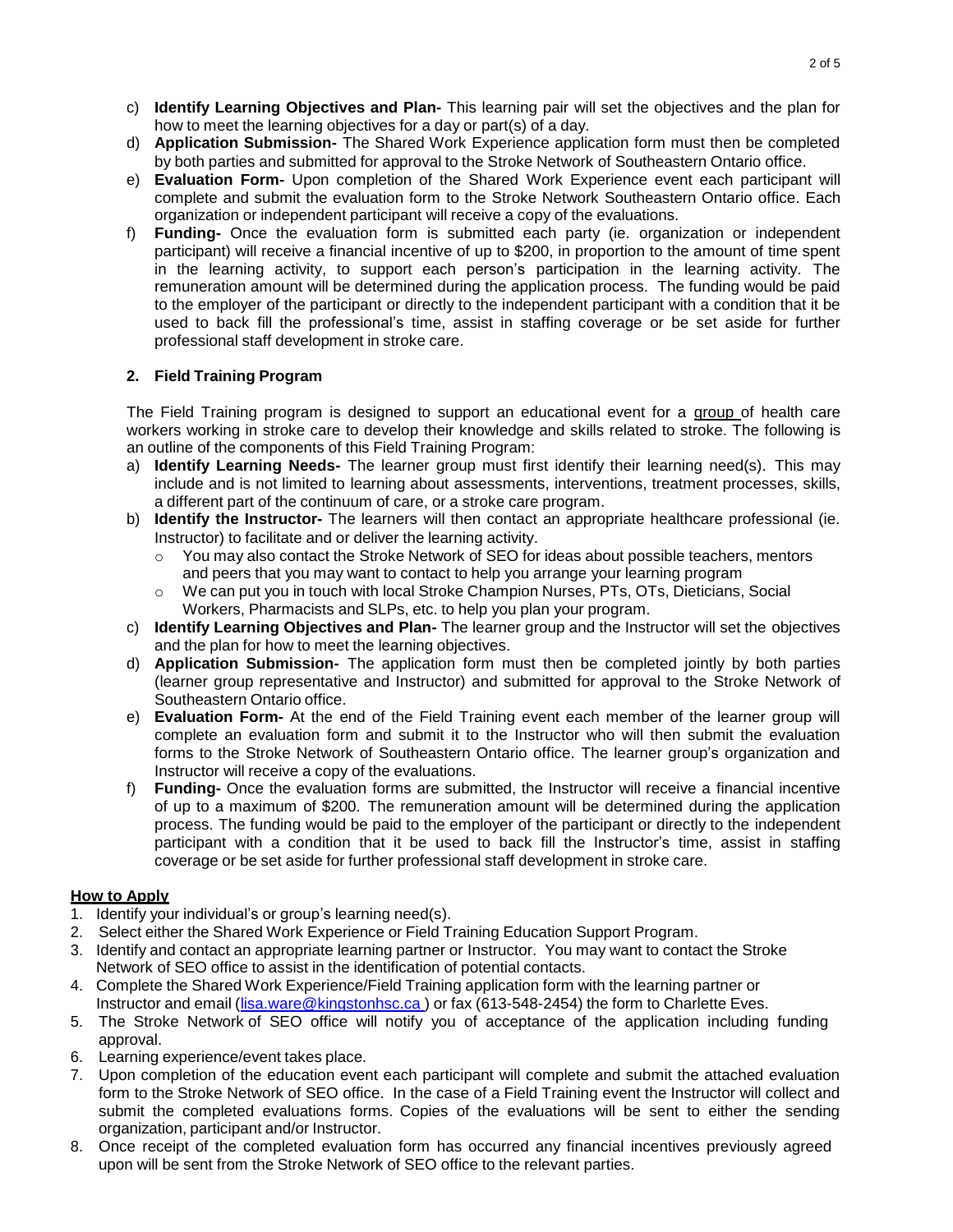- c) **Identify Learning Objectives and Plan-** This learning pair will set the objectives and the plan for how to meet the learning objectives for a day or part(s) of a day.
- d) **Application Submission-** The Shared Work Experience application form must then be completed by both parties and submitted for approval to the Stroke Network of Southeastern Ontario office.
- e) **Evaluation Form-** Upon completion of the Shared Work Experience event each participant will complete and submit the evaluation form to the Stroke Network Southeastern Ontario office. Each organization or independent participant will receive a copy of the evaluations.
- f) **Funding-** Once the evaluation form is submitted each party (ie. organization or independent participant) will receive a financial incentive of up to \$200, in proportion to the amount of time spent in the learning activity, to support each person's participation in the learning activity. The remuneration amount will be determined during the application process. The funding would be paid to the employer of the participant or directly to the independent participant with a condition that it be used to back fill the professional's time, assist in staffing coverage or be set aside for further professional staff development in stroke care.

### **2. Field Training Program**

The Field Training program is designed to support an educational event for a group of health care workers working in stroke care to develop their knowledge and skills related to stroke. The following is an outline of the components of this Field Training Program:

- a) **Identify Learning Needs-** The learner group must first identify their learning need(s). This may include and is not limited to learning about assessments, interventions, treatment processes, skills, a different part of the continuum of care, or a stroke care program.
- b) **Identify the Instructor-** The learners will then contact an appropriate healthcare professional (ie. Instructor) to facilitate and or deliver the learning activity.
	- o You may also contact the Stroke Network of SEO for ideas about possible teachers, mentors and peers that you may want to contact to help you arrange your learning program
	- o We can put you in touch with local Stroke Champion Nurses, PTs, OTs, Dieticians, Social Workers, Pharmacists and SLPs, etc. to help you plan your program.
- c) **Identify Learning Objectives and Plan-** The learner group and the Instructor will set the objectives and the plan for how to meet the learning objectives.
- d) **Application Submission-** The application form must then be completed jointly by both parties (learner group representative and Instructor) and submitted for approval to the Stroke Network of Southeastern Ontario office.
- e) **Evaluation Form-** At the end of the Field Training event each member of the learner group will complete an evaluation form and submit it to the Instructor who will then submit the evaluation forms to the Stroke Network of Southeastern Ontario office. The learner group's organization and Instructor will receive a copy of the evaluations.
- f) **Funding-** Once the evaluation forms are submitted, the Instructor will receive a financial incentive of up to a maximum of \$200. The remuneration amount will be determined during the application process. The funding would be paid to the employer of the participant or directly to the independent participant with a condition that it be used to back fill the Instructor's time, assist in staffing coverage or be set aside for further professional staff development in stroke care.

### **How to Apply**

- 1. Identify your individual's or group's learning need(s).
- 2. Select either the Shared Work Experience or Field Training Education Support Program.
- 3. Identify and contact an appropriate learning partner or Instructor. You may want to contact the Stroke Network of SEO office to assist in the identification of potential contacts.
- 4. Complete the Shared Work Experience/Field Training application form with the learning partner or Instructor and email [\(lisa.ware@kingstonhsc.ca](mailto:lisa.ware@kingstonhsc.ca)) or fax (613-548-2454) the form to Charlette Eves.
- 5. The Stroke Network of SEO office will notify you of acceptance of the application including funding approval.
- 6. Learning experience/event takes place.
- 7. Upon completion of the education event each participant will complete and submit the attached evaluation form to the Stroke Network of SEO office. In the case of a Field Training event the Instructor will collect and submit the completed evaluations forms. Copies of the evaluations will be sent to either the sending organization, participant and/or Instructor.
- 8. Once receipt of the completed evaluation form has occurred any financial incentives previously agreed upon will be sent from the Stroke Network of SEO office to the relevant parties.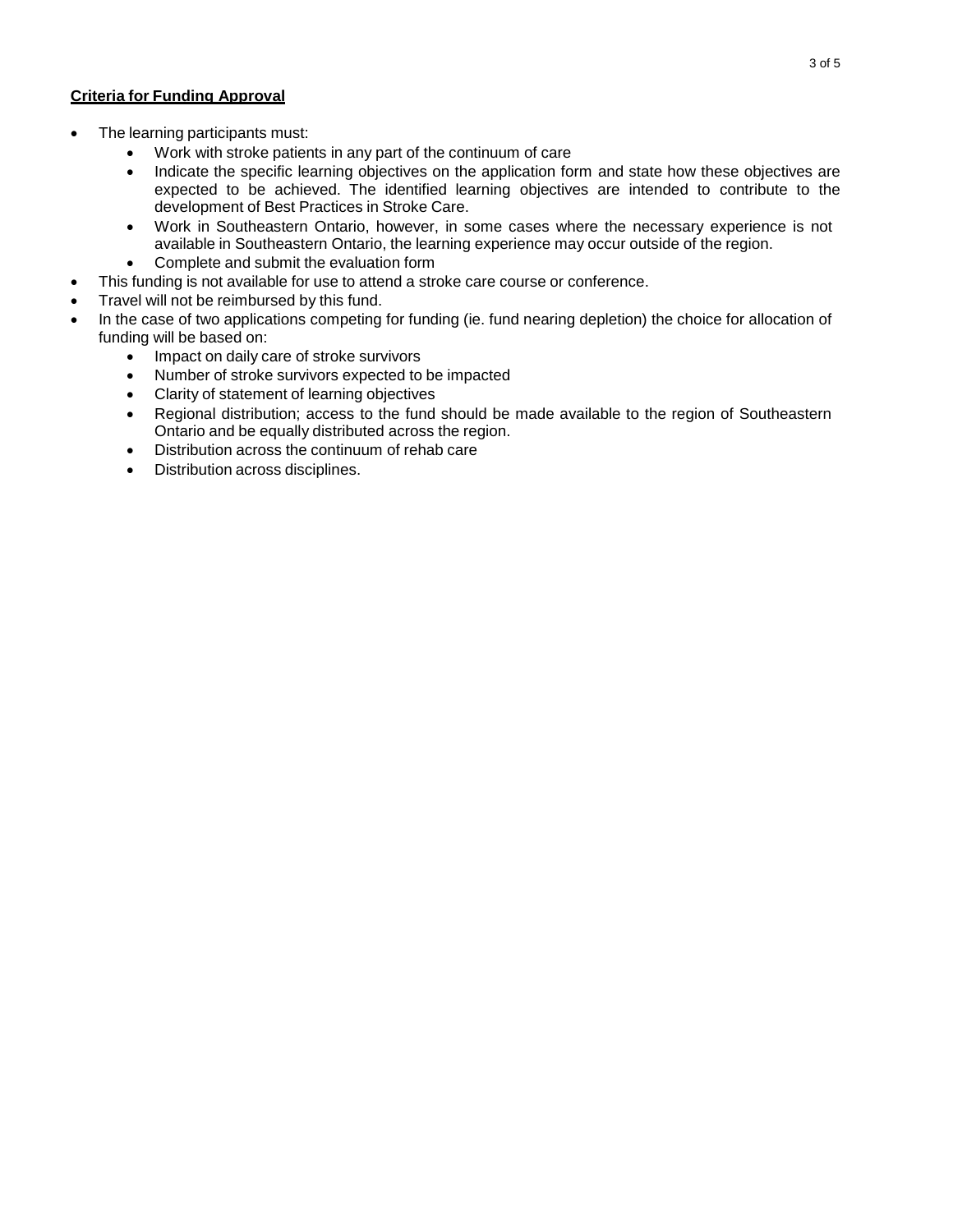### **Criteria for Funding Approval**

- The learning participants must:
	- Work with stroke patients in any part of the continuum of care
	- Indicate the specific learning objectives on the application form and state how these objectives are expected to be achieved. The identified learning objectives are intended to contribute to the development of Best Practices in Stroke Care.
	- Work in Southeastern Ontario, however, in some cases where the necessary experience is not available in Southeastern Ontario, the learning experience may occur outside of the region.
	- Complete and submit the evaluation form
- This funding is not available for use to attend a stroke care course or conference.
- Travel will not be reimbursed by this fund.
- In the case of two applications competing for funding (ie. fund nearing depletion) the choice for allocation of funding will be based on:
	- Impact on daily care of stroke survivors
	- Number of stroke survivors expected to be impacted
	- Clarity of statement of learning objectives
	- Regional distribution; access to the fund should be made available to the region of Southeastern Ontario and be equally distributed across the region.
	- Distribution across the continuum of rehab care
	- Distribution across disciplines.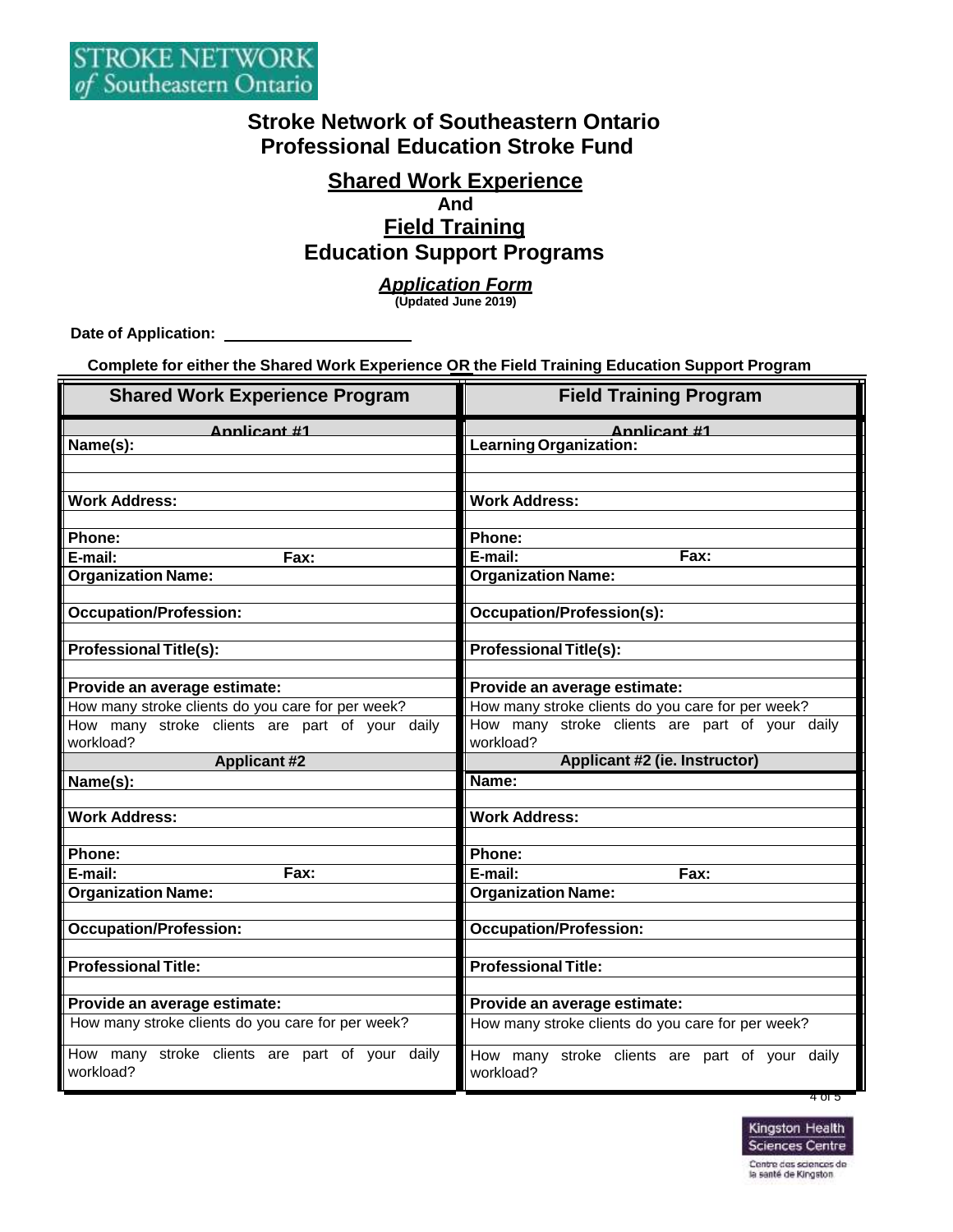## **Stroke Network of Southeastern Ontario Professional Education Stroke Fund**

# **Shared Work Experience**

## **And Field Training Education Support Programs**

### *Application Form*

**(Updated June 2019)**

**Date of Application:** 

**Complete for either the Shared Work Experience OR the Field Training Education Support Program**

| <b>Shared Work Experience Program</b>                       | <b>Field Training Program</b>                               |
|-------------------------------------------------------------|-------------------------------------------------------------|
| Annlicant #1                                                | Annlicant #1                                                |
| Name(s):                                                    | Learning Organization:                                      |
|                                                             |                                                             |
| <b>Work Address:</b>                                        | <b>Work Address:</b>                                        |
|                                                             |                                                             |
| Phone:                                                      | Phone:                                                      |
| E-mail:<br>Fax:                                             | E-mail:<br>Fax:                                             |
| <b>Organization Name:</b>                                   | <b>Organization Name:</b>                                   |
|                                                             |                                                             |
| <b>Occupation/Profession:</b>                               | <b>Occupation/Profession(s):</b>                            |
|                                                             |                                                             |
| <b>Professional Title(s):</b>                               | <b>Professional Title(s):</b>                               |
| Provide an average estimate:                                | Provide an average estimate:                                |
| How many stroke clients do you care for per week?           | How many stroke clients do you care for per week?           |
| How many stroke clients are part of your daily              | How many stroke clients are part of your daily              |
| workload?                                                   | workload?                                                   |
| <b>Applicant #2</b>                                         | <b>Applicant #2 (ie. Instructor)</b>                        |
| Name(s):                                                    | Name:                                                       |
|                                                             |                                                             |
| <b>Work Address:</b>                                        | <b>Work Address:</b>                                        |
| Phone:                                                      | Phone:                                                      |
| E-mail:<br>Fax:                                             | E-mail:<br>Fax:                                             |
| <b>Organization Name:</b>                                   | <b>Organization Name:</b>                                   |
|                                                             |                                                             |
| <b>Occupation/Profession:</b>                               | <b>Occupation/Profession:</b>                               |
|                                                             |                                                             |
| <b>Professional Title:</b>                                  | <b>Professional Title:</b>                                  |
|                                                             |                                                             |
| Provide an average estimate:                                | Provide an average estimate:                                |
| How many stroke clients do you care for per week?           | How many stroke clients do you care for per week?           |
| How many stroke clients are part of your daily<br>workload? | How many stroke clients are part of your daily<br>workload? |



4 of 5